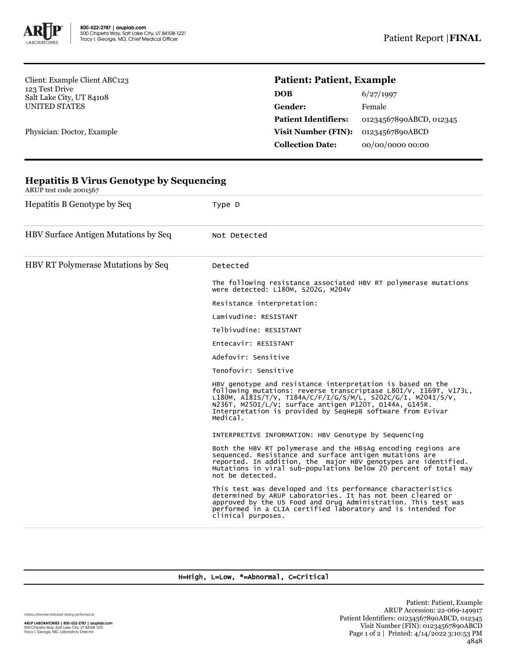

Client: Example Client ABC123 123 Test Drive Salt Lake City, UT 84108 UNITED STATES

Physician: Doctor, Example

## **Patient: Patient, Example**

| DOB                         | 6/27/1997               |
|-----------------------------|-------------------------|
| Gender:                     | Female                  |
| <b>Patient Identifiers:</b> | 01234567890ABCD, 012345 |
| <b>Visit Number (FIN):</b>  | 01234567890ABCD         |
| <b>Collection Date:</b>     | 00/00/0000 00:00        |

| Hepatitis B Genotype by Seq          | Type D                                                                                                                                                                                                                                                                                                                             |  |  |
|--------------------------------------|------------------------------------------------------------------------------------------------------------------------------------------------------------------------------------------------------------------------------------------------------------------------------------------------------------------------------------|--|--|
| HBV Surface Antigen Mutations by Seq | Not Detected                                                                                                                                                                                                                                                                                                                       |  |  |
| HBV RT Polymerase Mutations by Seq   | Detected                                                                                                                                                                                                                                                                                                                           |  |  |
|                                      | The following resistance associated HBV RT polymerase mutations<br>were detected: L180M, S202G, M204V                                                                                                                                                                                                                              |  |  |
|                                      | Resistance interpretation:                                                                                                                                                                                                                                                                                                         |  |  |
|                                      | Lamivudine: RESISTANT                                                                                                                                                                                                                                                                                                              |  |  |
|                                      | Telbivudine: RESISTANT                                                                                                                                                                                                                                                                                                             |  |  |
|                                      | Entecavir: RESISTANT                                                                                                                                                                                                                                                                                                               |  |  |
|                                      | Adefovir: Sensitive                                                                                                                                                                                                                                                                                                                |  |  |
|                                      | Tenofovir: Sensitive                                                                                                                                                                                                                                                                                                               |  |  |
|                                      | HBV genotype and resistance interpretation is based on the<br>following mutations: reverse transcriptase L80I/V, I169T, V173L,<br>L180M, A181S/T/V, T184A/C/F/I/G/S/M/L, S202C/G/I, M204I/S/V,<br>N236T, M250I/L/V; surface antigen P120T, D144A, G145R.<br>Interpretation is provided by SeqHepB software from Evivar<br>Medical. |  |  |
|                                      | INTERPRETIVE INFORMATION: HBV Genotype by Sequencing                                                                                                                                                                                                                                                                               |  |  |
|                                      | Both the HBV RT polymerase and the HBsAg encoding regions are<br>sequenced. Resistance and surface antigen mutations are<br>reported. In addition, the major HBV genotypes are identified.<br>Mutations in viral sub-populations below 20 percent of total may<br>not be detected.                                                 |  |  |
|                                      | This test was developed and its performance characteristics<br>determined by ARUP Laboratories. It has not been cleared or<br>approved by the US Food and Drug Administration. This test was<br>performed in a CLIA certified laboratory and is intended for<br>clinical purposes.                                                 |  |  |

## **Hepatitis B Virus Genotype by Sequencing** ARUP test code 2001567

H=High, L=Low, \*=Abnormal, C=Critical

Unless otherwise indicated, testing performed at: